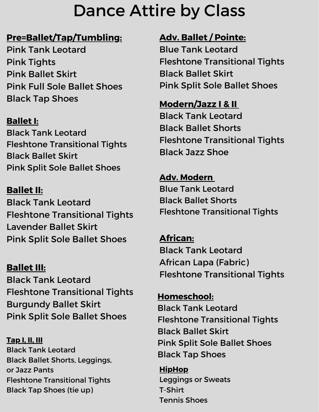# Dance Attire by Class

#### **Pre=Ballet/Tap/Tumbling:**

Pink Tank Leotard Pink Tights Pink Ballet Skirt Pink Full Sole Ballet Shoes Black Tap Shoes

#### **Ballet I:**

Black Tank Leotard Fleshtone Transitional Tights Black Ballet Skirt Pink Split Sole Ballet Shoes

#### **Ballet II:**

Black Tank Leotard Fleshtone Transitional Tights Lavender Ballet Skirt Pink Split Sole Ballet Shoes

### **Ballet III:**

Black Tank Leotard Fleshtone Transitional Tights Burgundy Ballet Skirt Pink Split Sole Ballet Shoes

**Tap I, II, III** Black Tank Leotard Black Ballet Shorts, Leggings, or Jazz Pants Fleshtone Transitional Tights Black Tap Shoes (tie up)

## **Adv. Ballet / Pointe:**

Blue Tank Leotard Fleshtone Transitional Tights Black Ballet Skirt Pink Split Sole Ballet Shoes

#### **Modern/Jazz I & II**

Black Tank Leotard Black Ballet Shorts Fleshtone Transitional Tights Black Jazz Shoe

**Adv. Modern** Blue Tank Leotard Black Ballet Shorts Fleshtone Transitional Tights

**African:** Black Tank Leotard African Lapa (Fabric) Fleshtone Transitional Tights

**Homeschool:** Black Tank Leotard Fleshtone Transitional Tights Black Ballet Skirt Pink Split Sole Ballet Shoes Black Tap Shoes

**HipHop** Leggings or Sweats T-Shirt Tennis Shoes